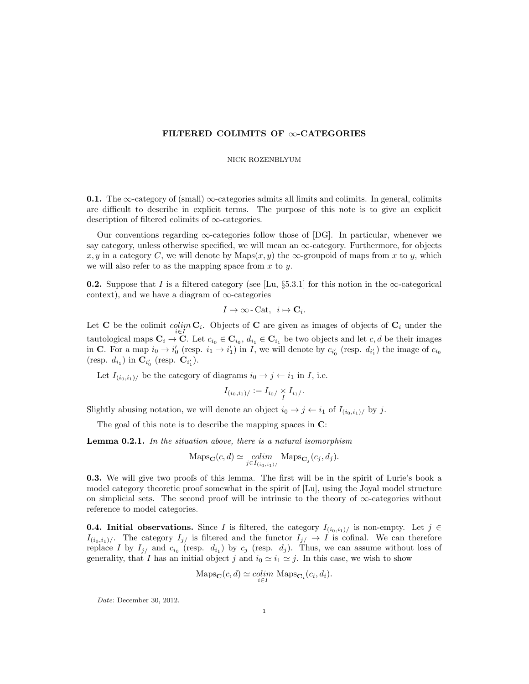## FILTERED COLIMITS OF  $\infty$ -CATEGORIES

## NICK ROZENBLYUM

**0.1.** The  $\infty$ -category of (small)  $\infty$ -categories admits all limits and colimits. In general, colimits are difficult to describe in explicit terms. The purpose of this note is to give an explicit description of filtered colimits of ∞-categories.

Our conventions regarding  $\infty$ -categories follow those of [DG]. In particular, whenever we say category, unless otherwise specified, we will mean an  $\infty$ -category. Furthermore, for objects x, y in a category C, we will denote by  $\text{Maps}(x, y)$  the  $\infty$ -groupoid of maps from x to y, which we will also refer to as the mapping space from  $x$  to  $y$ .

**0.2.** Suppose that I is a filtered category (see [Lu, §5.3.1] for this notion in the  $\infty$ -categorical context), and we have a diagram of  $\infty$ -categories

$$
I \to \infty\text{-}\mathrm{Cat}, i \mapsto \mathbf{C}_i.
$$

Let **C** be the colimit *colim*  $C_i$ . Objects of **C** are given as images of objects of  $C_i$  under the tautological maps  $\mathbf{C}_i \to \mathbf{C}$ . Let  $c_{i_0} \in \mathbf{C}_{i_0}, d_{i_1} \in \mathbf{C}_{i_1}$  be two objects and let c, d be their images<br>in  $\mathbf{C}$ . For a map  $i_0 \to i'$  (resp.  $i_1 \to i'$ ) in L we will denote by  $c_{i'}$  (resp. d.) the i in C. For a map  $i_0 \to i'_0$  (resp.  $i_1 \to i'_1$ ) in I, we will denote by  $c_{i'_0}$  (resp.  $d_{i'_1}$ ) the image of  $c_{i_0}$ (resp.  $d_{i_1}$ ) in  $C_{i'_0}$  (resp.  $C_{i'_1}$ ).

Let  $I_{(i_0,i_1)/}$  be the category of diagrams  $i_0 \rightarrow j \leftarrow i_1$  in *I*, i.e.

$$
I_{(i_0,i_1)/} := I_{i_0/} \underset{I}{\times} I_{i_1/}.
$$

Slightly abusing notation, we will denote an object  $i_0 \rightarrow j \leftarrow i_1$  of  $I_{(i_0,i_1)}/$  by j.

The goal of this note is to describe the mapping spaces in C:

Lemma 0.2.1. In the situation above, there is a natural isomorphism

$$
\mathrm{Maps}_{\mathbf{C}}(c,d) \simeq \underset{j \in I_{(i_0,i_1)/}}{\text{colim}} \mathrm{Maps}_{\mathbf{C}_j}(c_j,d_j).
$$

0.3. We will give two proofs of this lemma. The first will be in the spirit of Lurie's book a model category theoretic proof somewhat in the spirit of [Lu], using the Joyal model structure on simplicial sets. The second proof will be intrinsic to the theory of ∞-categories without reference to model categories.

**0.4. Initial observations.** Since I is filtered, the category  $I_{(i_0,i_1)/}$  is non-empty. Let  $j \in$  $I_{(i_0,i_1)/}$ . The category  $I_{j/}$  is filtered and the functor  $I_{j/} \to I$  is cofinal. We can therefore replace I by  $I_{j}$  and  $c_{i_0}$  (resp.  $d_{i_1}$ ) by  $c_j$  (resp.  $d_j$ ). Thus, we can assume without loss of generality, that I has an initial object j and  $i_0 \simeq i_1 \simeq j$ . In this case, we wish to show

$$
\mathrm{Maps}_{\mathbf{C}}(c,d) \simeq \underset{i \in I}{\text{colim}} \mathrm{Maps}_{\mathbf{C}_i}(c_i,d_i).
$$

Date: December 30, 2012.